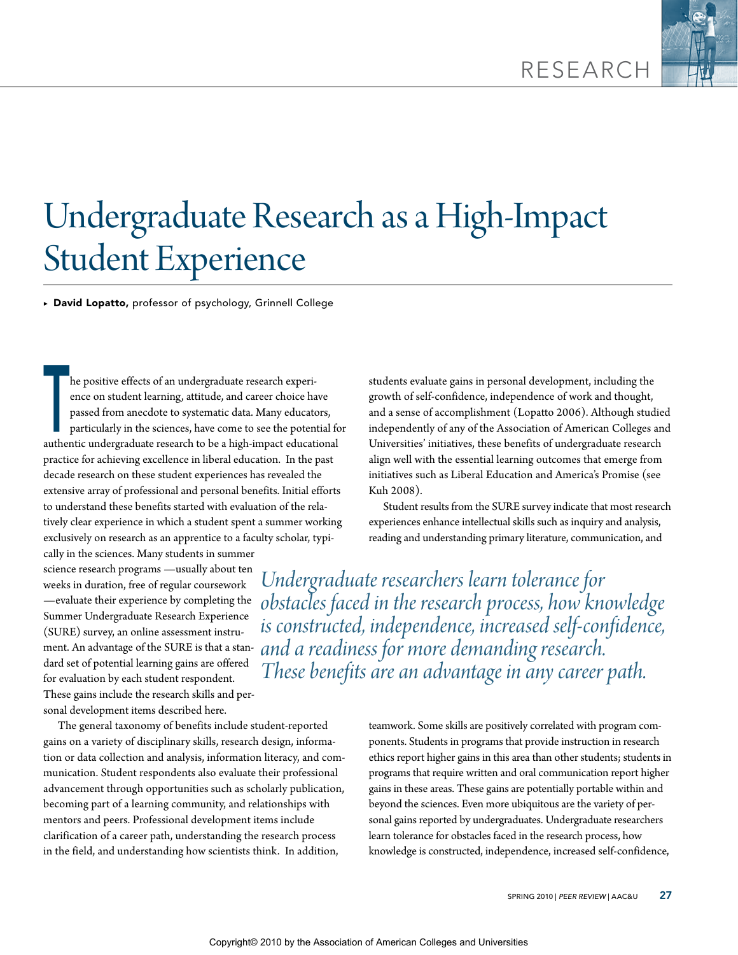

# Undergraduate Research as a High-Impact Student Experience

▶ David Lopatto, professor of psychology, Grinnell College

he positive effects of an undergraduate research experience on student learning, attitude, and career choice has passed from anecdote to systematic data. Many educate particularly in the sciences, have come to see the pote ence on student learning, attitude, and career choice have passed from anecdote to systematic data. Many educators, particularly in the sciences, have come to see the potential for authentic undergraduate research to be a high-impact educational practice for achieving excellence in liberal education. In the past decade research on these student experiences has revealed the extensive array of professional and personal benefits. Initial efforts to understand these benefits started with evaluation of the relatively clear experience in which a student spent a summer working exclusively on research as an apprentice to a faculty scholar, typically in the sciences. Many students in summer

science research programs —usually about ten weeks in duration, free of regular coursework —evaluate their experience by completing the Summer Undergraduate Research Experience (SURE) survey, an online assessment instrudard set of potential learning gains are offered for evaluation by each student respondent. These gains include the research skills and personal development items described here.

The general taxonomy of benefits include student-reported gains on a variety of disciplinary skills, research design, information or data collection and analysis, information literacy, and communication. Student respondents also evaluate their professional advancement through opportunities such as scholarly publication, becoming part of a learning community, and relationships with mentors and peers. Professional development items include clarification of a career path, understanding the research process in the field, and understanding how scientists think. In addition,

students evaluate gains in personal development, including the growth of self-confidence, independence of work and thought, and a sense of accomplishment (Lopatto 2006). Although studied independently of any of the Association of American Colleges and Universities' initiatives, these benefits of undergraduate research align well with the essential learning outcomes that emerge from initiatives such as Liberal Education and America's Promise (see Kuh 2008).

Student results from the SURE survey indicate that most research experiences enhance intellectual skills such as inquiry and analysis, reading and understanding primary literature, communication, and

ment. An advantage of the SURE is that a stan-*and a readiness for more demanding research. Undergraduate researchers learn tolerance for obstacles faced in the research process, how knowledge is constructed, independence, increased self-confidence, These benefits are an advantage in any career path.*

> teamwork. Some skills are positively correlated with program components. Students in programs that provide instruction in research ethics report higher gains in this area than other students; students in programs that require written and oral communication report higher gains in these areas. These gains are potentially portable within and beyond the sciences. Even more ubiquitous are the variety of personal gains reported by undergraduates. Undergraduate researchers learn tolerance for obstacles faced in the research process, how knowledge is constructed, independence, increased self-confidence,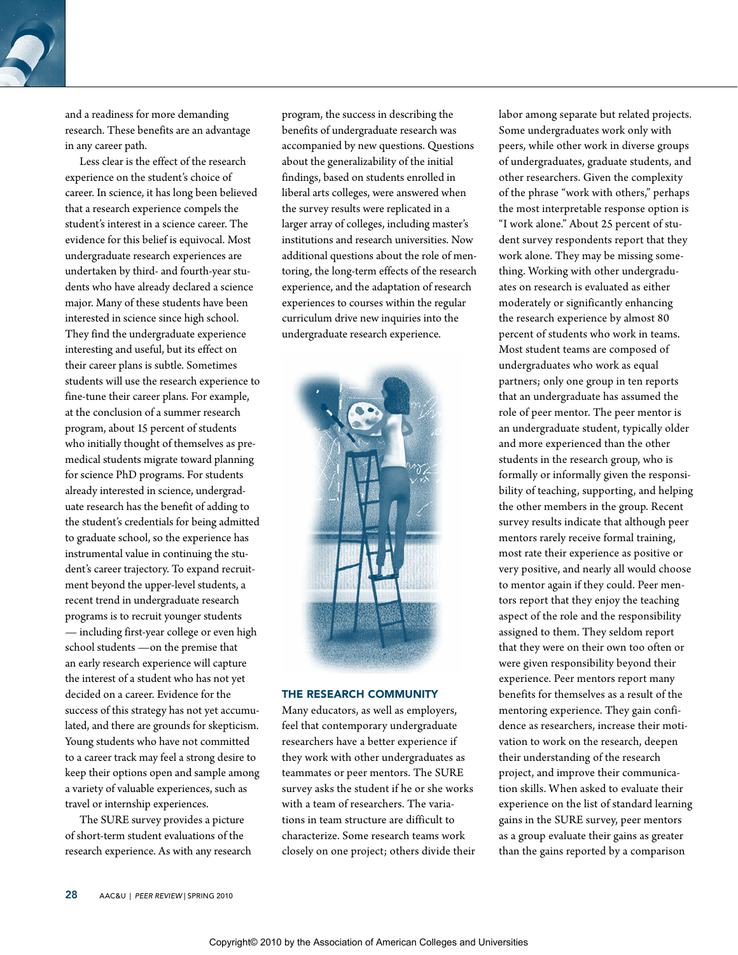and a readiness for more demanding research. These benefits are an advantage in any career path.

Less clear is the effect of the research experience on the student's choice of career. In science, it has long been believed that a research experience compels the student's interest in a science career. The evidence for this belief is equivocal. Most undergraduate research experiences are undertaken by third- and fourth-year students who have already declared a science major. Many of these students have been interested in science since high school. They find the undergraduate experience interesting and useful, but its effect on their career plans is subtle. Sometimes students will use the research experience to fine-tune their career plans. For example, at the conclusion of a summer research program, about 15 percent of students who initially thought of themselves as premedical students migrate toward planning for science PhD programs. For students already interested in science, undergraduate research has the benefit of adding to the student's credentials for being admitted to graduate school, so the experience has instrumental value in continuing the student's career trajectory. To expand recruitment beyond the upper-level students, a recent trend in undergraduate research programs is to recruit younger students — including first-year college or even high school students —on the premise that an early research experience will capture the interest of a student who has not yet decided on a career. Evidence for the success of this strategy has not yet accumulated, and there are grounds for skepticism. Young students who have not committed to a career track may feel a strong desire to keep their options open and sample among a variety of valuable experiences, such as travel or internship experiences.

The SURE survey provides a picture of short-term student evaluations of the research experience. As with any research

program, the success in describing the benefits of undergraduate research was accompanied by new questions. Questions about the generalizability of the initial findings, based on students enrolled in liberal arts colleges, were answered when the survey results were replicated in a larger array of colleges, including master's institutions and research universities. Now additional questions about the role of mentoring, the long-term effects of the research experience, and the adaptation of research experiences to courses within the regular curriculum drive new inquiries into the undergraduate research experience.



#### **THE RESEARCH COMMUNITY**

Many educators, as well as employers, feel that contemporary undergraduate researchers have a better experience if they work with other undergraduates as teammates or peer mentors. The SURE survey asks the student if he or she works with a team of researchers. The variations in team structure are difficult to characterize. Some research teams work closely on one project; others divide their labor among separate but related projects. Some undergraduates work only with peers, while other work in diverse groups of undergraduates, graduate students, and other researchers. Given the complexity of the phrase "work with others," perhaps the most interpretable response option is "I work alone." About 25 percent of student survey respondents report that they work alone. They may be missing something. Working with other undergraduates on research is evaluated as either moderately or significantly enhancing the research experience by almost 80 percent of students who work in teams. Most student teams are composed of undergraduates who work as equal partners; only one group in ten reports that an undergraduate has assumed the role of peer mentor. The peer mentor is an undergraduate student, typically older and more experienced than the other students in the research group, who is formally or informally given the responsibility of teaching, supporting, and helping the other members in the group. Recent survey results indicate that although peer mentors rarely receive formal training, most rate their experience as positive or very positive, and nearly all would choose to mentor again if they could. Peer mentors report that they enjoy the teaching aspect of the role and the responsibility assigned to them. They seldom report that they were on their own too often or were given responsibility beyond their experience. Peer mentors report many benefits for themselves as a result of the mentoring experience. They gain confidence as researchers, increase their motivation to work on the research, deepen their understanding of the research project, and improve their communication skills. When asked to evaluate their experience on the list of standard learning gains in the SURE survey, peer mentors as a group evaluate their gains as greater than the gains reported by a comparison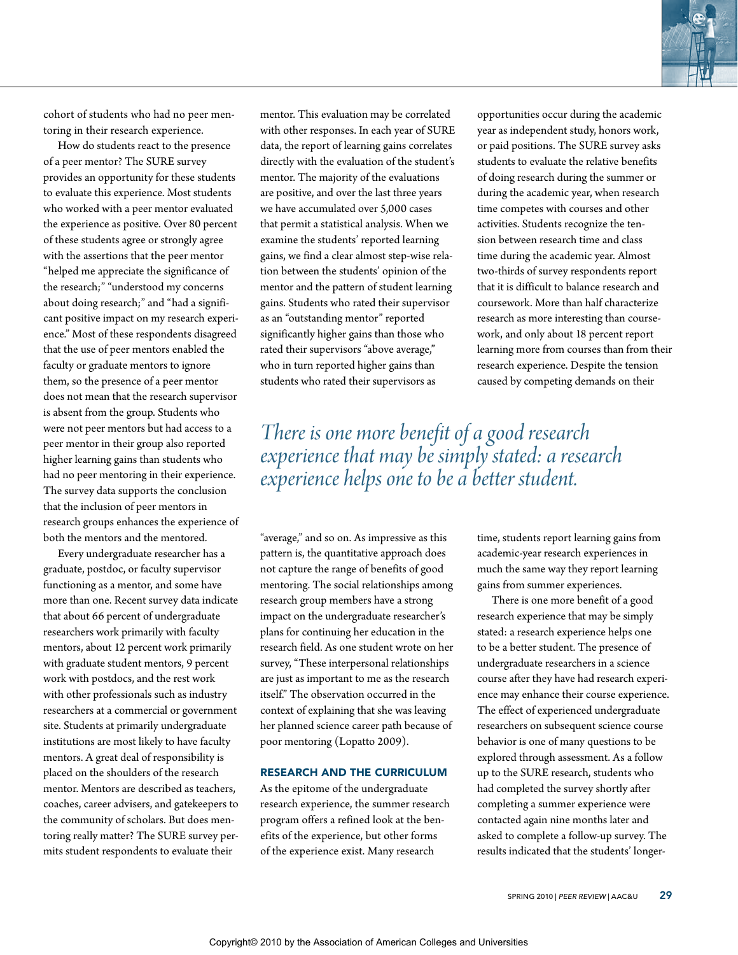

cohort of students who had no peer mentoring in their research experience.

How do students react to the presence of a peer mentor? The SURE survey provides an opportunity for these students to evaluate this experience. Most students who worked with a peer mentor evaluated the experience as positive. Over 80 percent of these students agree or strongly agree with the assertions that the peer mentor "helped me appreciate the significance of the research;" "understood my concerns about doing research;" and "had a significant positive impact on my research experience." Most of these respondents disagreed that the use of peer mentors enabled the faculty or graduate mentors to ignore them, so the presence of a peer mentor does not mean that the research supervisor is absent from the group. Students who were not peer mentors but had access to a peer mentor in their group also reported higher learning gains than students who had no peer mentoring in their experience. The survey data supports the conclusion that the inclusion of peer mentors in research groups enhances the experience of both the mentors and the mentored.

Every undergraduate researcher has a graduate, postdoc, or faculty supervisor functioning as a mentor, and some have more than one. Recent survey data indicate that about 66 percent of undergraduate researchers work primarily with faculty mentors, about 12 percent work primarily with graduate student mentors, 9 percent work with postdocs, and the rest work with other professionals such as industry researchers at a commercial or government site. Students at primarily undergraduate institutions are most likely to have faculty mentors. A great deal of responsibility is placed on the shoulders of the research mentor. Mentors are described as teachers, coaches, career advisers, and gatekeepers to the community of scholars. But does mentoring really matter? The SURE survey permits student respondents to evaluate their

mentor. This evaluation may be correlated with other responses. In each year of SURE data, the report of learning gains correlates directly with the evaluation of the student's mentor. The majority of the evaluations are positive, and over the last three years we have accumulated over 5,000 cases that permit a statistical analysis. When we examine the students' reported learning gains, we find a clear almost step-wise relation between the students' opinion of the mentor and the pattern of student learning gains. Students who rated their supervisor as an "outstanding mentor" reported significantly higher gains than those who rated their supervisors "above average," who in turn reported higher gains than students who rated their supervisors as

*There is one more benefit of a good research experience that may be simply stated: a research experience helps one to be a better student.* 

"average," and so on. As impressive as this pattern is, the quantitative approach does not capture the range of benefits of good mentoring. The social relationships among research group members have a strong impact on the undergraduate researcher's plans for continuing her education in the research field. As one student wrote on her survey, "These interpersonal relationships are just as important to me as the research itself." The observation occurred in the context of explaining that she was leaving her planned science career path because of poor mentoring (Lopatto 2009).

## Research and the curriculum

As the epitome of the undergraduate research experience, the summer research program offers a refined look at the benefits of the experience, but other forms of the experience exist. Many research

opportunities occur during the academic year as independent study, honors work, or paid positions. The SURE survey asks students to evaluate the relative benefits of doing research during the summer or during the academic year, when research time competes with courses and other activities. Students recognize the tension between research time and class time during the academic year. Almost two-thirds of survey respondents report that it is difficult to balance research and coursework. More than half characterize research as more interesting than coursework, and only about 18 percent report learning more from courses than from their research experience. Despite the tension caused by competing demands on their

time, students report learning gains from academic-year research experiences in much the same way they report learning gains from summer experiences.

There is one more benefit of a good research experience that may be simply stated: a research experience helps one to be a better student. The presence of undergraduate researchers in a science course after they have had research experience may enhance their course experience. The effect of experienced undergraduate researchers on subsequent science course behavior is one of many questions to be explored through assessment. As a follow up to the SURE research, students who had completed the survey shortly after completing a summer experience were contacted again nine months later and asked to complete a follow-up survey. The results indicated that the students' longer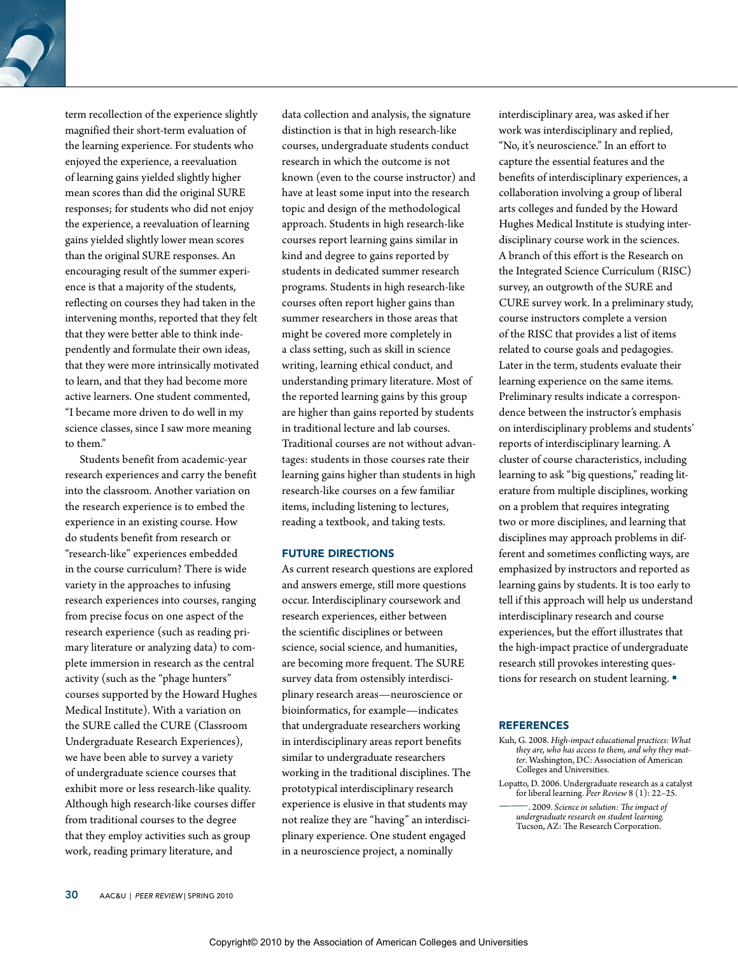term recollection of the experience slightly magnified their short-term evaluation of the learning experience. For students who enjoyed the experience, a reevaluation of learning gains yielded slightly higher mean scores than did the original SURE responses; for students who did not enjoy the experience, a reevaluation of learning gains yielded slightly lower mean scores than the original SURE responses. An encouraging result of the summer experience is that a majority of the students, reflecting on courses they had taken in the intervening months, reported that they felt that they were better able to think independently and formulate their own ideas, that they were more intrinsically motivated to learn, and that they had become more active learners. One student commented, "I became more driven to do well in my science classes, since I saw more meaning to them."

Students benefit from academic-year research experiences and carry the benefit into the classroom. Another variation on the research experience is to embed the experience in an existing course. How do students benefit from research or "research-like" experiences embedded in the course curriculum? There is wide variety in the approaches to infusing research experiences into courses, ranging from precise focus on one aspect of the research experience (such as reading primary literature or analyzing data) to complete immersion in research as the central activity (such as the "phage hunters" courses supported by the Howard Hughes Medical Institute). With a variation on the SURE called the CURE (Classroom Undergraduate Research Experiences), we have been able to survey a variety of undergraduate science courses that exhibit more or less research-like quality. Although high research-like courses differ from traditional courses to the degree that they employ activities such as group work, reading primary literature, and

data collection and analysis, the signature distinction is that in high research-like courses, undergraduate students conduct research in which the outcome is not known (even to the course instructor) and have at least some input into the research topic and design of the methodological approach. Students in high research-like courses report learning gains similar in kind and degree to gains reported by students in dedicated summer research programs. Students in high research-like courses often report higher gains than summer researchers in those areas that might be covered more completely in a class setting, such as skill in science writing, learning ethical conduct, and understanding primary literature. Most of the reported learning gains by this group are higher than gains reported by students in traditional lecture and lab courses. Traditional courses are not without advantages: students in those courses rate their learning gains higher than students in high research-like courses on a few familiar items, including listening to lectures, reading a textbook, and taking tests.

## Future directions

As current research questions are explored and answers emerge, still more questions occur. Interdisciplinary coursework and research experiences, either between the scientific disciplines or between science, social science, and humanities, are becoming more frequent. The SURE survey data from ostensibly interdisciplinary research areas—neuroscience or bioinformatics, for example—indicates that undergraduate researchers working in interdisciplinary areas report benefits similar to undergraduate researchers working in the traditional disciplines. The prototypical interdisciplinary research experience is elusive in that students may not realize they are "having" an interdisciplinary experience. One student engaged in a neuroscience project, a nominally

interdisciplinary area, was asked if her work was interdisciplinary and replied, "No, it's neuroscience." In an effort to capture the essential features and the benefits of interdisciplinary experiences, a collaboration involving a group of liberal arts colleges and funded by the Howard Hughes Medical Institute is studying interdisciplinary course work in the sciences. A branch of this effort is the Research on the Integrated Science Curriculum (RISC) survey, an outgrowth of the SURE and CURE survey work. In a preliminary study, course instructors complete a version of the RISC that provides a list of items related to course goals and pedagogies. Later in the term, students evaluate their learning experience on the same items. Preliminary results indicate a correspondence between the instructor's emphasis on interdisciplinary problems and students' reports of interdisciplinary learning. A cluster of course characteristics, including learning to ask "big questions," reading literature from multiple disciplines, working on a problem that requires integrating two or more disciplines, and learning that disciplines may approach problems in different and sometimes conflicting ways, are emphasized by instructors and reported as learning gains by students. It is too early to tell if this approach will help us understand interdisciplinary research and course experiences, but the effort illustrates that the high-impact practice of undergraduate research still provokes interesting questions for research on student learning.

## **REFERENCES**

- Kuh, G. 2008. *High-impact educational practices: What they are, who has access to them, and why they matter*. Washington, DC: Association of American Colleges and Universities.
- Lopatto, D. 2006. Undergraduate research as a catalyst for liberal learning. *Peer Review* 8 (1): 22–25.

. 2009. *Science in solution: The impact of undergraduate research on student learning.*  Tucson, AZ: The Research Corporation.